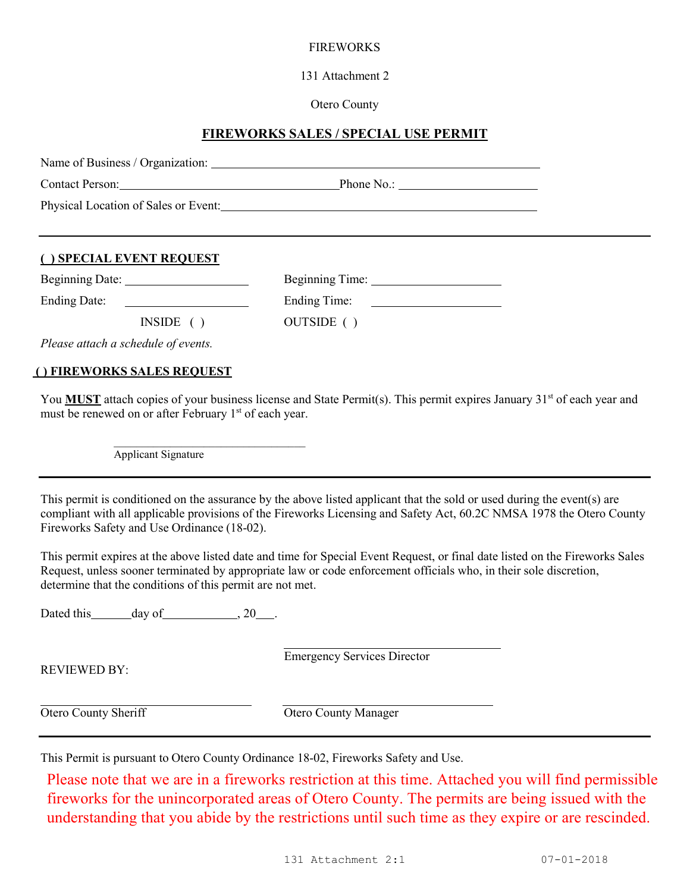## FIREWORKS

131 Attachment 2

Otero County

## **FIREWORKS SALES / SPECIAL USE PERMIT**

|                                                                                                                                   | Contact Person: Phone No.: Phone No.: Phone No.:                                                                                                                                                                                                     |
|-----------------------------------------------------------------------------------------------------------------------------------|------------------------------------------------------------------------------------------------------------------------------------------------------------------------------------------------------------------------------------------------------|
|                                                                                                                                   | Physical Location of Sales or Event: 1997 and 2008 and 2009 and 2009 and 2009 and 2009 and 2009 and 2009 and 2009 and 2009 and 2009 and 2009 and 2009 and 2009 and 2009 and 2009 and 2009 and 2009 and 2009 and 2009 and 2009                        |
| () SPECIAL EVENT REQUEST                                                                                                          |                                                                                                                                                                                                                                                      |
|                                                                                                                                   |                                                                                                                                                                                                                                                      |
|                                                                                                                                   |                                                                                                                                                                                                                                                      |
| INSIDE( )                                                                                                                         | OUTSIDE ( )                                                                                                                                                                                                                                          |
| Please attach a schedule of events.                                                                                               |                                                                                                                                                                                                                                                      |
| () FIREWORKS SALES REQUEST                                                                                                        |                                                                                                                                                                                                                                                      |
| must be renewed on or after February 1 <sup>st</sup> of each year.                                                                | You <b>MUST</b> attach copies of your business license and State Permit(s). This permit expires January 31 <sup>st</sup> of each year and                                                                                                            |
|                                                                                                                                   |                                                                                                                                                                                                                                                      |
| Applicant Signature                                                                                                               |                                                                                                                                                                                                                                                      |
|                                                                                                                                   | This permit is conditioned on the assurance by the above listed applicant that the sold or used during the event(s) are<br>Request, unless sooner terminated by appropriate law or code enforcement officials who, in their sole discretion,         |
|                                                                                                                                   |                                                                                                                                                                                                                                                      |
| Fireworks Safety and Use Ordinance (18-02).<br>determine that the conditions of this permit are not met.<br>Dated this day of 20. | compliant with all applicable provisions of the Fireworks Licensing and Safety Act, 60.2C NMSA 1978 the Otero County<br>This permit expires at the above listed date and time for Special Event Request, or final date listed on the Fireworks Sales |
| <b>REVIEWED BY:</b>                                                                                                               | <b>Emergency Services Director</b>                                                                                                                                                                                                                   |

fireworks for the unincorporated areas of Otero County. The permits are being issued with the understanding that you abide by the restrictions until such time as they expire or are rescinded.